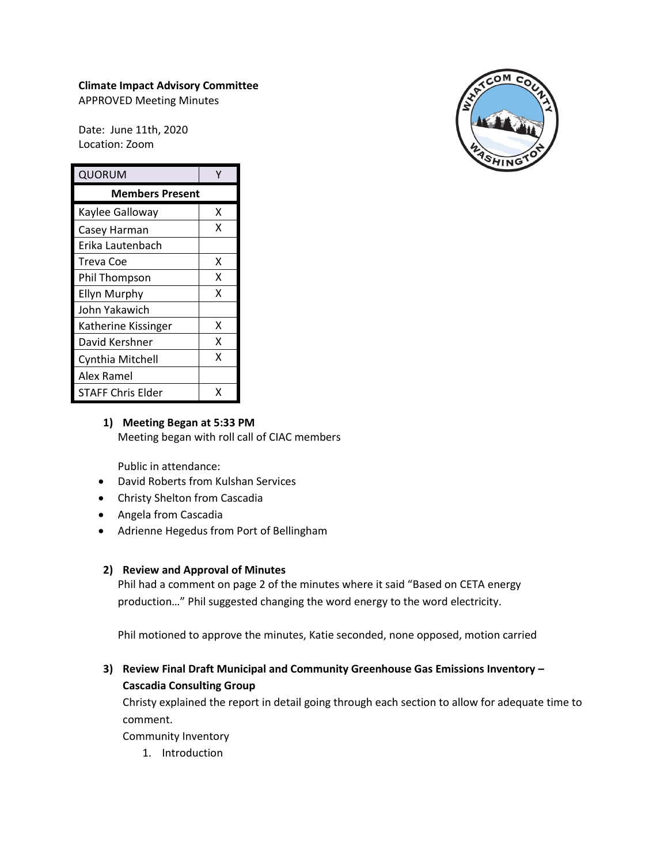# **Climate Impact Advisory Committee**

APPROVED Meeting Minutes

Date: June 11th, 2020 Location: Zoom

| QUORUM                 |   |
|------------------------|---|
| <b>Members Present</b> |   |
| Kaylee Galloway        | x |
| Casey Harman           | x |
| Erika Lautenbach       |   |
| Treva Coe              | x |
| Phil Thompson          | x |
| <b>Ellyn Murphy</b>    | x |
| John Yakawich          |   |
| Katherine Kissinger    | x |
| David Kershner         | x |
| Cynthia Mitchell       | x |
| Alex Ramel             |   |
| STAFF Chris Elder      | x |



## **1) Meeting Began at 5:33 PM** Meeting began with roll call of CIAC members

Public in attendance:

- David Roberts from Kulshan Services
- Christy Shelton from Cascadia
- Angela from Cascadia
- Adrienne Hegedus from Port of Bellingham

## **2) Review and Approval of Minutes**

Phil had a comment on page 2 of the minutes where it said "Based on CETA energy production…" Phil suggested changing the word energy to the word electricity.

Phil motioned to approve the minutes, Katie seconded, none opposed, motion carried

# **3) Review Final Draft Municipal and Community Greenhouse Gas Emissions Inventory – Cascadia Consulting Group**

Christy explained the report in detail going through each section to allow for adequate time to comment.

Community Inventory

1. Introduction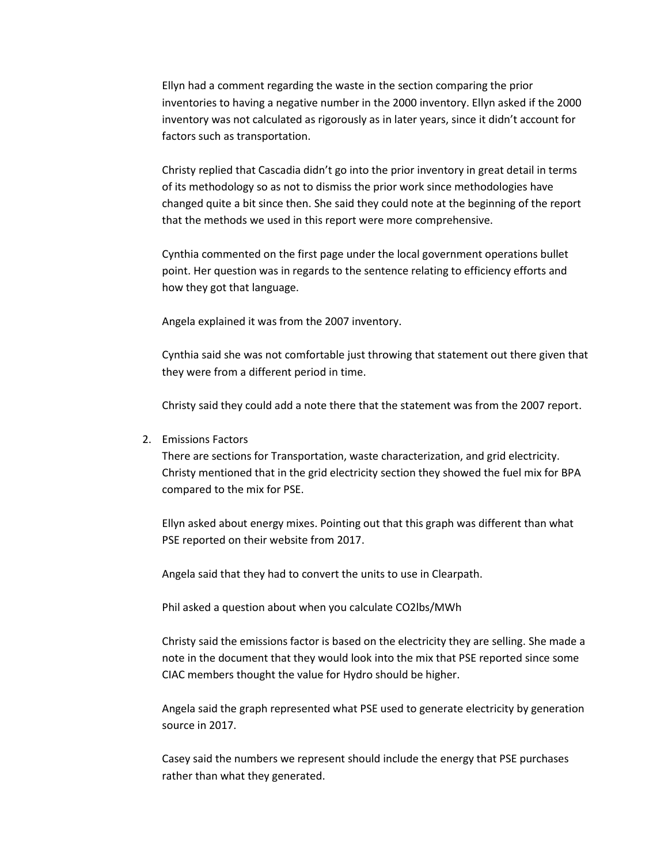Ellyn had a comment regarding the waste in the section comparing the prior inventories to having a negative number in the 2000 inventory. Ellyn asked if the 2000 inventory was not calculated as rigorously as in later years, since it didn't account for factors such as transportation.

Christy replied that Cascadia didn't go into the prior inventory in great detail in terms of its methodology so as not to dismiss the prior work since methodologies have changed quite a bit since then. She said they could note at the beginning of the report that the methods we used in this report were more comprehensive.

Cynthia commented on the first page under the local government operations bullet point. Her question was in regards to the sentence relating to efficiency efforts and how they got that language.

Angela explained it was from the 2007 inventory.

Cynthia said she was not comfortable just throwing that statement out there given that they were from a different period in time.

Christy said they could add a note there that the statement was from the 2007 report.

2. Emissions Factors

There are sections for Transportation, waste characterization, and grid electricity. Christy mentioned that in the grid electricity section they showed the fuel mix for BPA compared to the mix for PSE.

Ellyn asked about energy mixes. Pointing out that this graph was different than what PSE reported on their website from 2017.

Angela said that they had to convert the units to use in Clearpath.

Phil asked a question about when you calculate CO2lbs/MWh

Christy said the emissions factor is based on the electricity they are selling. She made a note in the document that they would look into the mix that PSE reported since some CIAC members thought the value for Hydro should be higher.

Angela said the graph represented what PSE used to generate electricity by generation source in 2017.

Casey said the numbers we represent should include the energy that PSE purchases rather than what they generated.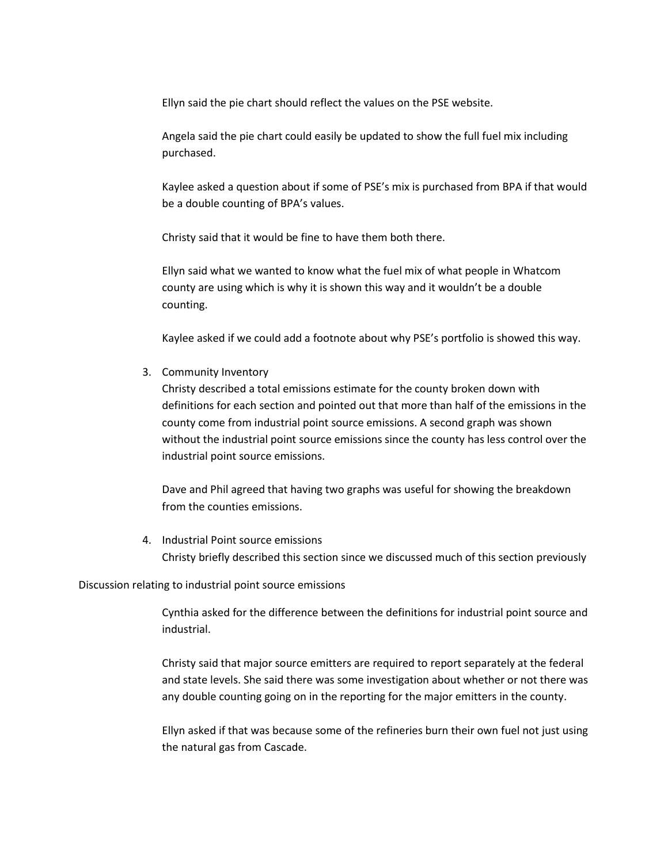Ellyn said the pie chart should reflect the values on the PSE website.

Angela said the pie chart could easily be updated to show the full fuel mix including purchased.

Kaylee asked a question about if some of PSE's mix is purchased from BPA if that would be a double counting of BPA's values.

Christy said that it would be fine to have them both there.

Ellyn said what we wanted to know what the fuel mix of what people in Whatcom county are using which is why it is shown this way and it wouldn't be a double counting.

Kaylee asked if we could add a footnote about why PSE's portfolio is showed this way.

3. Community Inventory

Christy described a total emissions estimate for the county broken down with definitions for each section and pointed out that more than half of the emissions in the county come from industrial point source emissions. A second graph was shown without the industrial point source emissions since the county has less control over the industrial point source emissions.

Dave and Phil agreed that having two graphs was useful for showing the breakdown from the counties emissions.

4. Industrial Point source emissions Christy briefly described this section since we discussed much of this section previously

### Discussion relating to industrial point source emissions

Cynthia asked for the difference between the definitions for industrial point source and industrial.

Christy said that major source emitters are required to report separately at the federal and state levels. She said there was some investigation about whether or not there was any double counting going on in the reporting for the major emitters in the county.

Ellyn asked if that was because some of the refineries burn their own fuel not just using the natural gas from Cascade.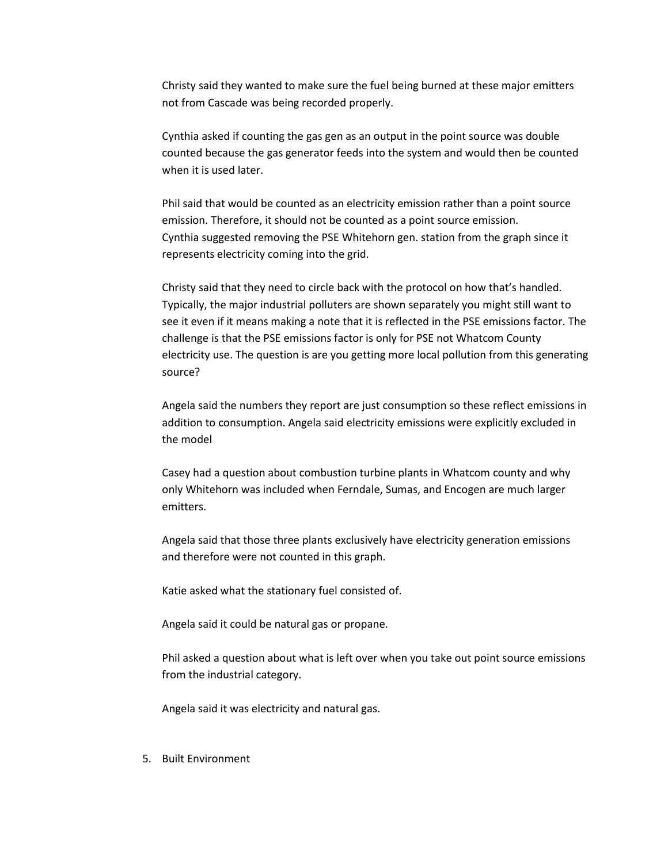Christy said they wanted to make sure the fuel being burned at these major emitters not from Cascade was being recorded properly.

Cynthia asked if counting the gas gen as an output in the point source was double counted because the gas generator feeds into the system and would then be counted when it is used later.

Phil said that would be counted as an electricity emission rather than a point source emission. Therefore, it should not be counted as a point source emission. Cynthia suggested removing the PSE Whitehorn gen. station from the graph since it represents electricity coming into the grid.

Christy said that they need to circle back with the protocol on how that's handled. Typically, the major industrial polluters are shown separately you might still want to see it even if it means making a note that it is reflected in the PSE emissions factor. The challenge is that the PSE emissions factor is only for PSE not Whatcom County electricity use. The question is are you getting more local pollution from this generating source?

Angela said the numbers they report are just consumption so these reflect emissions in addition to consumption. Angela said electricity emissions were explicitly excluded in the model

Casey had a question about combustion turbine plants in Whatcom county and why only Whitehorn was included when Ferndale, Sumas, and Encogen are much larger emitters.

Angela said that those three plants exclusively have electricity generation emissions and therefore were not counted in this graph.

Katie asked what the stationary fuel consisted of.

Angela said it could be natural gas or propane.

Phil asked a question about what is left over when you take out point source emissions from the industrial category.

Angela said it was electricity and natural gas.

5. Built Environment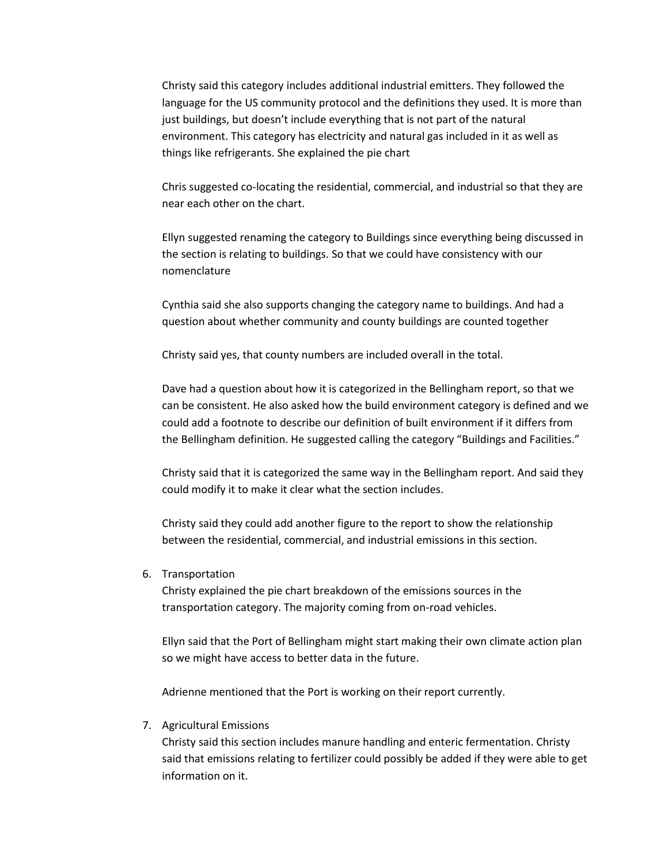Christy said this category includes additional industrial emitters. They followed the language for the US community protocol and the definitions they used. It is more than just buildings, but doesn't include everything that is not part of the natural environment. This category has electricity and natural gas included in it as well as things like refrigerants. She explained the pie chart

Chris suggested co-locating the residential, commercial, and industrial so that they are near each other on the chart.

Ellyn suggested renaming the category to Buildings since everything being discussed in the section is relating to buildings. So that we could have consistency with our nomenclature

Cynthia said she also supports changing the category name to buildings. And had a question about whether community and county buildings are counted together

Christy said yes, that county numbers are included overall in the total.

Dave had a question about how it is categorized in the Bellingham report, so that we can be consistent. He also asked how the build environment category is defined and we could add a footnote to describe our definition of built environment if it differs from the Bellingham definition. He suggested calling the category "Buildings and Facilities."

Christy said that it is categorized the same way in the Bellingham report. And said they could modify it to make it clear what the section includes.

Christy said they could add another figure to the report to show the relationship between the residential, commercial, and industrial emissions in this section.

6. Transportation

Christy explained the pie chart breakdown of the emissions sources in the transportation category. The majority coming from on-road vehicles.

Ellyn said that the Port of Bellingham might start making their own climate action plan so we might have access to better data in the future.

Adrienne mentioned that the Port is working on their report currently.

7. Agricultural Emissions

Christy said this section includes manure handling and enteric fermentation. Christy said that emissions relating to fertilizer could possibly be added if they were able to get information on it.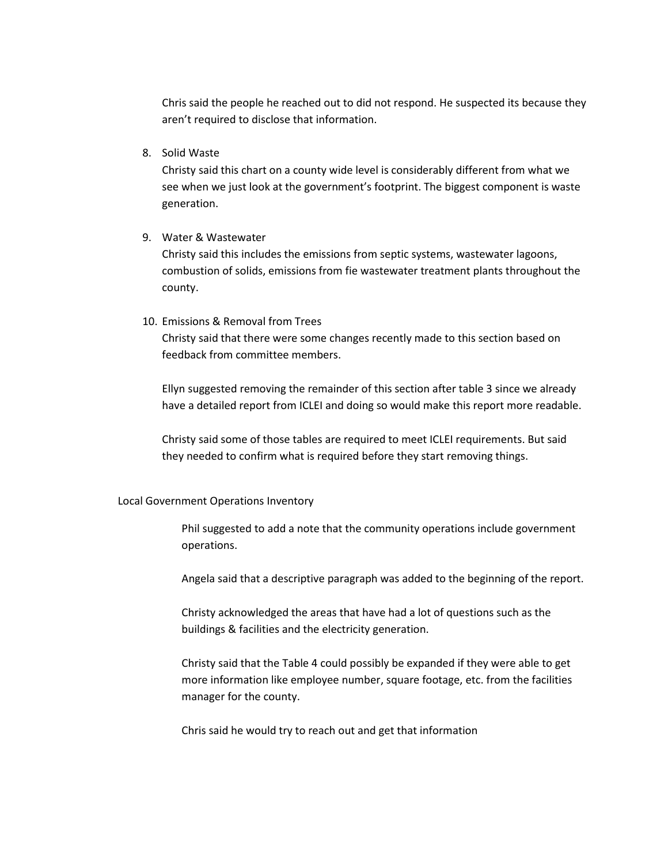Chris said the people he reached out to did not respond. He suspected its because they aren't required to disclose that information.

8. Solid Waste

Christy said this chart on a county wide level is considerably different from what we see when we just look at the government's footprint. The biggest component is waste generation.

9. Water & Wastewater

Christy said this includes the emissions from septic systems, wastewater lagoons, combustion of solids, emissions from fie wastewater treatment plants throughout the county.

#### 10. Emissions & Removal from Trees

Christy said that there were some changes recently made to this section based on feedback from committee members.

Ellyn suggested removing the remainder of this section after table 3 since we already have a detailed report from ICLEI and doing so would make this report more readable.

Christy said some of those tables are required to meet ICLEI requirements. But said they needed to confirm what is required before they start removing things.

#### Local Government Operations Inventory

Phil suggested to add a note that the community operations include government operations.

Angela said that a descriptive paragraph was added to the beginning of the report.

Christy acknowledged the areas that have had a lot of questions such as the buildings & facilities and the electricity generation.

Christy said that the Table 4 could possibly be expanded if they were able to get more information like employee number, square footage, etc. from the facilities manager for the county.

Chris said he would try to reach out and get that information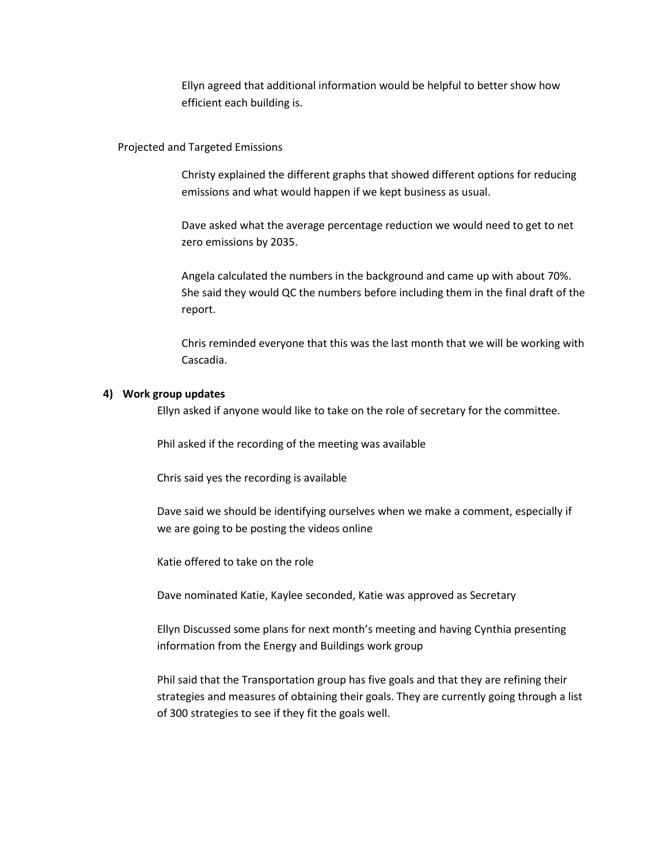Ellyn agreed that additional information would be helpful to better show how efficient each building is.

## Projected and Targeted Emissions

Christy explained the different graphs that showed different options for reducing emissions and what would happen if we kept business as usual.

Dave asked what the average percentage reduction we would need to get to net zero emissions by 2035.

Angela calculated the numbers in the background and came up with about 70%. She said they would QC the numbers before including them in the final draft of the report.

Chris reminded everyone that this was the last month that we will be working with Cascadia.

### **4) Work group updates**

Ellyn asked if anyone would like to take on the role of secretary for the committee.

Phil asked if the recording of the meeting was available

Chris said yes the recording is available

Dave said we should be identifying ourselves when we make a comment, especially if we are going to be posting the videos online

Katie offered to take on the role

Dave nominated Katie, Kaylee seconded, Katie was approved as Secretary

Ellyn Discussed some plans for next month's meeting and having Cynthia presenting information from the Energy and Buildings work group

Phil said that the Transportation group has five goals and that they are refining their strategies and measures of obtaining their goals. They are currently going through a list of 300 strategies to see if they fit the goals well.